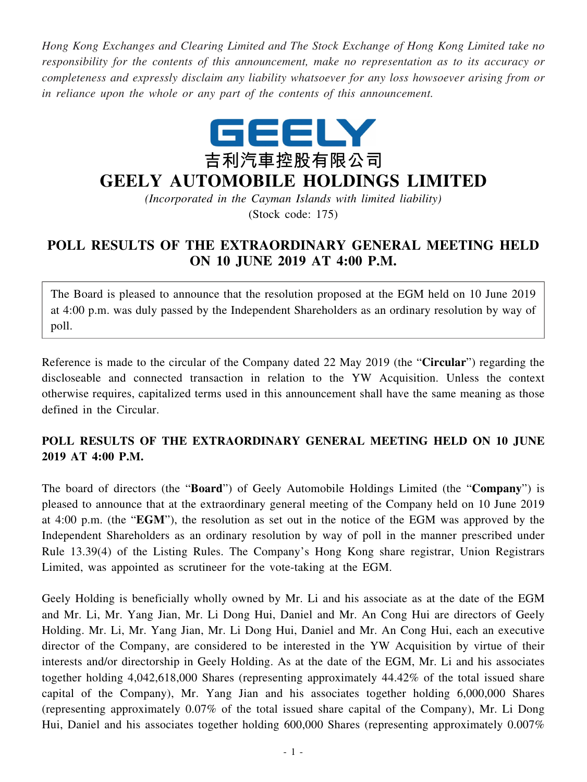*Hong Kong Exchanges and Clearing Limited and The Stock Exchange of Hong Kong Limited take no responsibility for the contents of this announcement, make no representation as to its accuracy or completeness and expressly disclaim any liability whatsoever for any loss howsoever arising from or in reliance upon the whole or any part of the contents of this announcement.*



## **GEELY AUTOMOBILE HOLDINGS LIMITED**

*(Incorporated in the Cayman Islands with limited liability)* (Stock code: 175)

## **POLL RESULTS OF THE EXTRAORDINARY GENERAL MEETING HELD ON 10 JUNE 2019 AT 4:00 P.M.**

The Board is pleased to announce that the resolution proposed at the EGM held on 10 June 2019 at 4:00 p.m. was duly passed by the Independent Shareholders as an ordinary resolution by way of poll.

Reference is made to the circular of the Company dated 22 May 2019 (the "**Circular**") regarding the discloseable and connected transaction in relation to the YW Acquisition. Unless the context otherwise requires, capitalized terms used in this announcement shall have the same meaning as those defined in the Circular.

## **POLL RESULTS OF THE EXTRAORDINARY GENERAL MEETING HELD ON 10 JUNE 2019 AT 4:00 P.M.**

The board of directors (the "**Board**") of Geely Automobile Holdings Limited (the "**Company**") is pleased to announce that at the extraordinary general meeting of the Company held on 10 June 2019 at 4:00 p.m. (the "**EGM**"), the resolution as set out in the notice of the EGM was approved by the Independent Shareholders as an ordinary resolution by way of poll in the manner prescribed under Rule 13.39(4) of the Listing Rules. The Company's Hong Kong share registrar, Union Registrars Limited, was appointed as scrutineer for the vote-taking at the EGM.

Geely Holding is beneficially wholly owned by Mr. Li and his associate as at the date of the EGM and Mr. Li, Mr. Yang Jian, Mr. Li Dong Hui, Daniel and Mr. An Cong Hui are directors of Geely Holding. Mr. Li, Mr. Yang Jian, Mr. Li Dong Hui, Daniel and Mr. An Cong Hui, each an executive director of the Company, are considered to be interested in the YW Acquisition by virtue of their interests and/or directorship in Geely Holding. As at the date of the EGM, Mr. Li and his associates together holding 4,042,618,000 Shares (representing approximately 44.42% of the total issued share capital of the Company), Mr. Yang Jian and his associates together holding 6,000,000 Shares (representing approximately 0.07% of the total issued share capital of the Company), Mr. Li Dong Hui, Daniel and his associates together holding 600,000 Shares (representing approximately 0.007%